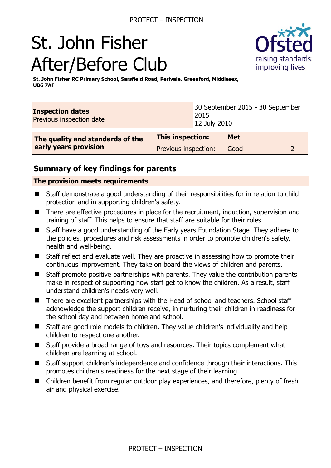# St. John Fisher After/Before Club



**St. John Fisher RC Primary School, Sarsfield Road, Perivale, Greenford, Middlesex, UB6 7AF** 

| <b>Inspection dates</b><br>Previous inspection date | 2015<br>12 July 2010    | 30 September 2015 - 30 September |  |
|-----------------------------------------------------|-------------------------|----------------------------------|--|
| The quality and standards of the                    | <b>This inspection:</b> | <b>Met</b>                       |  |
| early years provision                               | Previous inspection:    | Good                             |  |

# **Summary of key findings for parents**

### **The provision meets requirements**

- Staff demonstrate a good understanding of their responsibilities for in relation to child protection and in supporting children's safety.
- There are effective procedures in place for the recruitment, induction, supervision and training of staff. This helps to ensure that staff are suitable for their roles.
- Staff have a good understanding of the Early years Foundation Stage. They adhere to the policies, procedures and risk assessments in order to promote children's safety, health and well-being.
- Staff reflect and evaluate well. They are proactive in assessing how to promote their continuous improvement. They take on board the views of children and parents.
- Staff promote positive partnerships with parents. They value the contribution parents make in respect of supporting how staff get to know the children. As a result, staff understand children's needs very well.
- There are excellent partnerships with the Head of school and teachers. School staff acknowledge the support children receive, in nurturing their children in readiness for the school day and between home and school.
- Staff are good role models to children. They value children's individuality and help children to respect one another.
- Staff provide a broad range of toys and resources. Their topics complement what children are learning at school.
- Staff support children's independence and confidence through their interactions. This promotes children's readiness for the next stage of their learning.
- Children benefit from regular outdoor play experiences, and therefore, plenty of fresh air and physical exercise.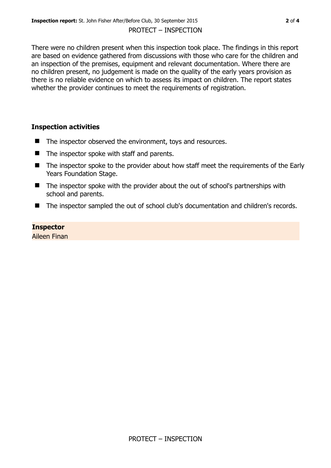There were no children present when this inspection took place. The findings in this report are based on evidence gathered from discussions with those who care for the children and an inspection of the premises, equipment and relevant documentation. Where there are no children present, no judgement is made on the quality of the early years provision as there is no reliable evidence on which to assess its impact on children. The report states whether the provider continues to meet the requirements of registration.

## **Inspection activities**

- The inspector observed the environment, toys and resources.
- $\blacksquare$  The inspector spoke with staff and parents.
- The inspector spoke to the provider about how staff meet the requirements of the Early Years Foundation Stage.
- The inspector spoke with the provider about the out of school's partnerships with school and parents.
- The inspector sampled the out of school club's documentation and children's records.

#### **Inspector**

Aileen Finan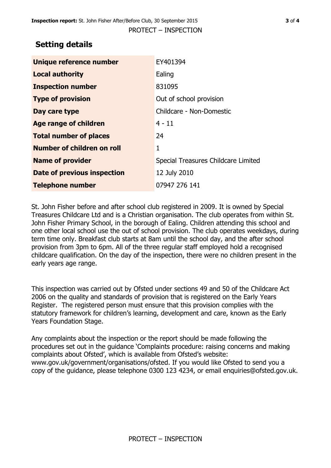# **Setting details**

| Unique reference number            | EY401394                            |
|------------------------------------|-------------------------------------|
| <b>Local authority</b>             | Ealing                              |
| <b>Inspection number</b>           | 831095                              |
| <b>Type of provision</b>           | Out of school provision             |
| Day care type                      | Childcare - Non-Domestic            |
| Age range of children              | $4 - 11$                            |
| <b>Total number of places</b>      | 24                                  |
| Number of children on roll         | 1                                   |
| <b>Name of provider</b>            | Special Treasures Childcare Limited |
| <b>Date of previous inspection</b> | 12 July 2010                        |
| <b>Telephone number</b>            | 07947 276 141                       |

St. John Fisher before and after school club registered in 2009. It is owned by Special Treasures Childcare Ltd and is a Christian organisation. The club operates from within St. John Fisher Primary School, in the borough of Ealing. Children attending this school and one other local school use the out of school provision. The club operates weekdays, during term time only. Breakfast club starts at 8am until the school day, and the after school provision from 3pm to 6pm. All of the three regular staff employed hold a recognised childcare qualification. On the day of the inspection, there were no children present in the early years age range.

This inspection was carried out by Ofsted under sections 49 and 50 of the Childcare Act 2006 on the quality and standards of provision that is registered on the Early Years Register. The registered person must ensure that this provision complies with the statutory framework for children's learning, development and care, known as the Early Years Foundation Stage.

Any complaints about the inspection or the report should be made following the procedures set out in the guidance 'Complaints procedure: raising concerns and making complaints about Ofsted', which is available from Ofsted's website: www.gov.uk/government/organisations/ofsted. If you would like Ofsted to send you a copy of the guidance, please telephone 0300 123 4234, or email enquiries@ofsted.gov.uk.